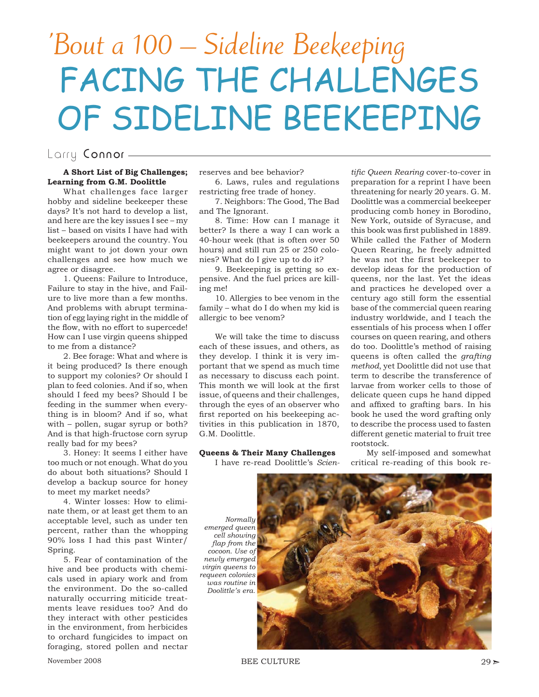# 'Bout a 100 – Sideline Beekeeping FACING THE CHALLENGES OF SIDELINE BEEKEEPING

# Larry Connor -

### **A Short List of Big Challenges; Learning from G.M. Doolittle**

What challenges face larger hobby and sideline beekeeper these days? It's not hard to develop a list, and here are the key issues I see – my list – based on visits I have had with beekeepers around the country. You might want to jot down your own challenges and see how much we agree or disagree.

1. Queens: Failure to Introduce, Failure to stay in the hive, and Failure to live more than a few months. And problems with abrupt termination of egg laying right in the middle of the flow, with no effort to supercede! How can I use virgin queens shipped to me from a distance?

2. Bee forage: What and where is it being produced? Is there enough to support my colonies? Or should I plan to feed colonies. And if so, when should I feed my bees? Should I be feeding in the summer when everything is in bloom? And if so, what with – pollen, sugar syrup or both? And is that high-fructose corn syrup really bad for my bees?

3. Honey: It seems I either have too much or not enough. What do you do about both situations? Should I develop a backup source for honey to meet my market needs?

4. Winter losses: How to eliminate them, or at least get them to an acceptable level, such as under ten percent, rather than the whopping 90% loss I had this past Winter/ Spring.

5. Fear of contamination of the hive and bee products with chemicals used in apiary work and from the environment. Do the so-called naturally occurring miticide treatments leave residues too? And do they interact with other pesticides in the environment, from herbicides to orchard fungicides to impact on foraging, stored pollen and nectar reserves and bee behavior?

6. Laws, rules and regulations restricting free trade of honey.

7. Neighbors: The Good, The Bad and The Ignorant.

8. Time: How can I manage it better? Is there a way I can work a 40-hour week (that is often over 50 hours) and still run 25 or 250 colonies? What do I give up to do it?

9. Beekeeping is getting so expensive. And the fuel prices are killing me!

10. Allergies to bee venom in the family – what do I do when my kid is allergic to bee venom?

We will take the time to discuss each of these issues, and others, as they develop. I think it is very important that we spend as much time as necessary to discuss each point. This month we will look at the first issue, of queens and their challenges, through the eyes of an observer who first reported on his beekeeping activities in this publication in 1870, G.M. Doolittle.

## **Queens & Their Many Challenges**

I have re-read Doolittle's *Scien-*

*tific Queen Rearing* cover-to-cover in preparation for a reprint I have been threatening for nearly 20 years. G. M. Doolittle was a commercial beekeeper producing comb honey in Borodino, New York, outside of Syracuse, and this book was first published in 1889. While called the Father of Modern Queen Rearing, he freely admitted he was not the first beekeeper to develop ideas for the production of queens, nor the last. Yet the ideas and practices he developed over a century ago still form the essential base of the commercial queen rearing industry worldwide, and I teach the essentials of his process when I offer courses on queen rearing, and others do too. Doolittle's method of raising queens is often called the *grafting method*, yet Doolittle did not use that term to describe the transference of larvae from worker cells to those of delicate queen cups he hand dipped and affixed to grafting bars. In his book he used the word grafting only to describe the process used to fasten different genetic material to fruit tree rootstock.

My self-imposed and somewhat critical re-reading of this book re-

*Normally emerged queen cell showing*  flap from the *cocoon. Use of newly emerged virgin queens to requeen colonies was routine in Doolittle's era.*

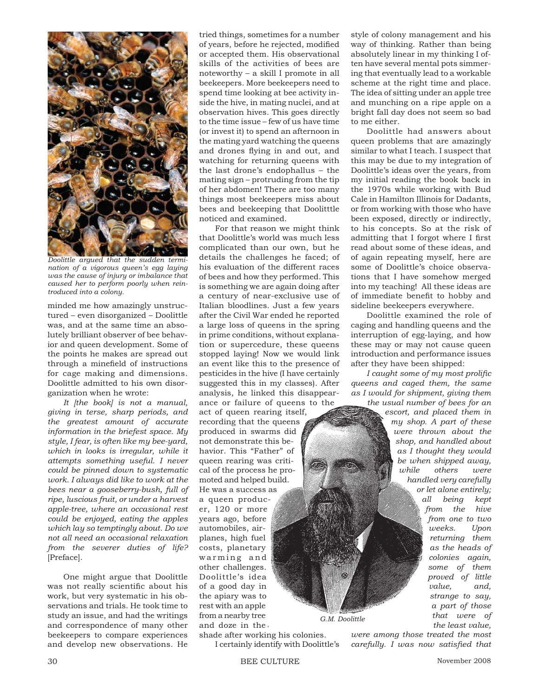

*Doolittle argued that the sudden termination of a vigorous queen's egg laying was the cause of injury or imbalance that caused her to perform poorly when reintroduced into a colony.*

minded me how amazingly unstructured – even disorganized – Doolittle was, and at the same time an absolutely brilliant observer of bee behavior and queen development. Some of the points he makes are spread out through a minefield of instructions for cage making and dimensions. Doolittle admitted to his own disorganization when he wrote:

*It [the book] is not a manual, giving in terse, sharp periods, and the greatest amount of accurate information in the briefest space. My style, I fear, is often like my bee-yard, which in looks is irregular, while it attempts something useful. I never could be pinned down to systematic work. I always did like to work at the bees near a gooseberry-bush, full of ripe, luscious fruit, or under a harvest apple-tree, where an occasional rest could be enjoyed, eating the apples which lay so temptingly about. Do we not all need an occasional relaxation from the severer duties of life?* [Preface].

One might argue that Doolittle was not really scientific about his work, but very systematic in his observations and trials. He took time to study an issue, and had the writings and correspondence of many other beekeepers to compare experiences and develop new observations. He tried things, sometimes for a number of years, before he rejected, modified or accepted them. His observational skills of the activities of bees are noteworthy – a skill I promote in all beekeepers. More beekeepers need to spend time looking at bee activity inside the hive, in mating nuclei, and at observation hives. This goes directly to the time issue – few of us have time (or invest it) to spend an afternoon in the mating yard watching the queens and drones flying in and out, and watching for returning queens with the last drone's endophallus – the mating sign – protruding from the tip of her abdomen! There are too many things most beekeepers miss about bees and beekeeping that Doolitttle noticed and examined.

For that reason we might think that Doolittle's world was much less complicated than our own, but he details the challenges he faced; of his evaluation of the different races of bees and how they performed. This is something we are again doing after a century of near-exclusive use of Italian bloodlines. Just a few years after the Civil War ended he reported a large loss of queens in the spring in prime conditions, without explanation or supercedure, these queens stopped laying! Now we would link an event like this to the presence of pesticides in the hive (I have certainly suggested this in my classes). After analysis, he linked this disappearance or failure of queens to the act of queen rearing itself, recording that the queens produced in swarms did not demonstrate this behavior. This "Father" of queen rearing was critical of the process he promoted and helped build. He was a success as a queen producer, 120 or more years ago, before automobiles, airplanes, high fuel costs, planetary warming and other challenges. Doolittle's idea of a good day in the apiary was to rest with an apple from a nearby tree and doze in the *G.M. Doolittle*

shade after working his colonies.

I certainly identify with Doolittle's

style of colony management and his way of thinking. Rather than being absolutely linear in my thinking I often have several mental pots simmering that eventually lead to a workable scheme at the right time and place. The idea of sitting under an apple tree and munching on a ripe apple on a bright fall day does not seem so bad to me either.

Doolittle had answers about queen problems that are amazingly similar to what I teach. I suspect that this may be due to my integration of Doolittle's ideas over the years, from my initial reading the book back in the 1970s while working with Bud Cale in Hamilton Illinois for Dadants, or from working with those who have been exposed, directly or indirectly, to his concepts. So at the risk of admitting that I forgot where I first read about some of these ideas, and of again repeating myself, here are some of Doolittle's choice observations that I have somehow merged into my teaching! All these ideas are of immediate benefit to hobby and sideline beekeepers everywhere.

Doolittle examined the role of caging and handling queens and the interruption of egg-laying, and how these may or may not cause queen introduction and performance issues after they have been shipped:

*I caught some of my most prolific queens and caged them, the same as I would for shipment, giving them the usual number of bees for an* 

*escort, and placed them in my shop. A part of these were thrown about the shop, and handled about as I thought they would be when shipped away, while others were handled very carefully or let alone entirely; all being kept from the hive from one to two weeks. Upon returning them as the heads of colonies again, some of them proved of little value, and, strange to say, a part of those that were of the least value,* 

*were among those treated the most carefully. I was now satisfied that*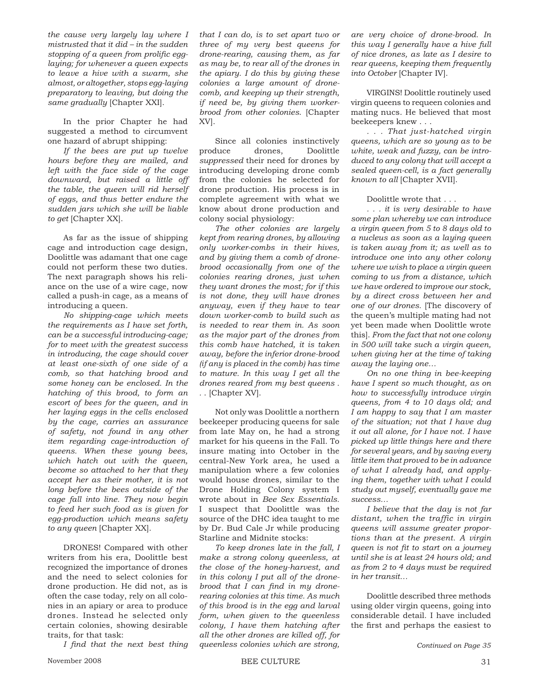*the cause very largely lay where I mistrusted that it did – in the sudden*  stopping of a queen from prolific egg*laying; for whenever a queen expects to leave a hive with a swarm, she almost, or altogether, stops egg-laying preparatory to leaving, but doing the same gradually* [Chapter XXI].

In the prior Chapter he had suggested a method to circumvent one hazard of abrupt shipping:

*If the bees are put up twelve hours before they are mailed, and left with the face side of the cage downward, but raised a little off the table, the queen will rid herself of eggs, and thus better endure the sudden jars which she will be liable to get* [Chapter XX].

As far as the issue of shipping cage and introduction cage design, Doolittle was adamant that one cage could not perform these two duties. The next paragraph shows his reliance on the use of a wire cage, now called a push-in cage, as a means of introducing a queen.

*No shipping-cage which meets the requirements as I have set forth, can be a successful introducing-cage; for to meet with the greatest success in introducing, the cage should cover at least one-sixth of one side of a comb, so that hatching brood and some honey can be enclosed. In the hatching of this brood, to form an escort of bees for the queen, and in her laying eggs in the cells enclosed by the cage, carries an assurance of safety, not found in any other item regarding cage-introduction of queens. When these young bees, which hatch out with the queen, become so attached to her that they accept her as their mother, it is not long before the bees outside of the cage fall into line. They now begin to feed her such food as is given for egg-production which means safety to any queen* [Chapter XX].

DRONES! Compared with other writers from his era, Doolittle best recognized the importance of drones and the need to select colonies for drone production. He did not, as is often the case today, rely on all colonies in an apiary or area to produce drones. Instead he selected only certain colonies, showing desirable traits, for that task:

*I* find that the next best thing

*that I can do, is to set apart two or three of my very best queens for drone-rearing, causing them, as far as may be, to rear all of the drones in the apiary. I do this by giving these colonies a large amount of dronecomb, and keeping up their strength, if need be, by giving them workerbrood from other colonies*. [Chapter XV].

Since all colonies instinctively produce drones, Doolittle *suppressed* their need for drones by introducing developing drone comb from the colonies he selected for drone production. His process is in complete agreement with what we know about drone production and colony social physiology:

*The other colonies are largely kept from rearing drones, by allowing only worker-combs in their hives, and by giving them a comb of dronebrood occasionally from one of the colonies rearing drones, just when they want drones the most; for if this is not done, they will have drones anyway, even if they have to tear down worker-comb to build such as is needed to rear them in. As soon as the major part of the drones from this comb have hatched, it is taken away, before the inferior drone-brood (if any is placed in the comb) has time to mature. In this way I get all the drones reared from my best queens . .* . [Chapter XV].

Not only was Doolittle a northern beekeeper producing queens for sale from late May on, he had a strong market for his queens in the Fall. To insure mating into October in the central-New York area, he used a manipulation where a few colonies would house drones, similar to the Drone Holding Colony system I wrote about in *Bee Sex Essentials.*  I suspect that Doolittle was the source of the DHC idea taught to me by Dr. Bud Cale Jr while producing Starline and Midnite stocks:

*To keep drones late in the fall, I make a strong colony queenless, at the close of the honey-harvest, and in this colony I put all of the dronebrood that I can find in my dronerearing colonies at this time. As much of this brood is in the egg and larval form, when given to the queenless colony, I have them hatching after all the other drones are killed off, for queenless colonies which are strong,* 

*are very choice of drone-brood. In this way I generally have a hive full of nice drones, as late as I desire to rear queens, keeping them frequently into October* [Chapter IV].

VIRGINS! Doolittle routinely used virgin queens to requeen colonies and mating nucs. He believed that most beekeepers knew . . .

*. . . That just-hatched virgin queens, which are so young as to be white, weak and fuzzy, can be introduced to any colony that will accept a sealed queen-cell, is a fact generally known to all* [Chapter XVII].

#### Doolittle wrote that . . .

*. . . it is very desirable to have some plan whereby we can introduce a virgin queen from 5 to 8 days old to a nucleus as soon as a laying queen is taken away from it; as well as to introduce one into any other colony where we wish to place a virgin queen coming to us from a distance, which we have ordered to improve our stock, by a direct cross between her and one of our drones.* [The discovery of the queen's multiple mating had not yet been made when Doolittle wrote this]. *From the fact that not one colony in 500 will take such a virgin queen, when giving her at the time of taking away the laying one…*

*On no one thing in bee-keeping have I spent so much thought, as on how to successfully introduce virgin queens, from 4 to 10 days old; and I am happy to say that I am master of the situation; not that I have dug it out all alone, for I have not. I have picked up little things here and there for several years, and by saving every little item that proved to be in advance of what I already had, and applying them, together with what I could study out myself, eventually gave me success…*

*I believe that the day is not far distant, when the traffic in virgin queens will assume greater proportions than at the present. A virgin queen is not fit to start on a journey until she is at least 24 hours old; and as from 2 to 4 days must be required in her transit…*

Doolittle described three methods using older virgin queens, going into considerable detail. I have included the first and perhaps the easiest to